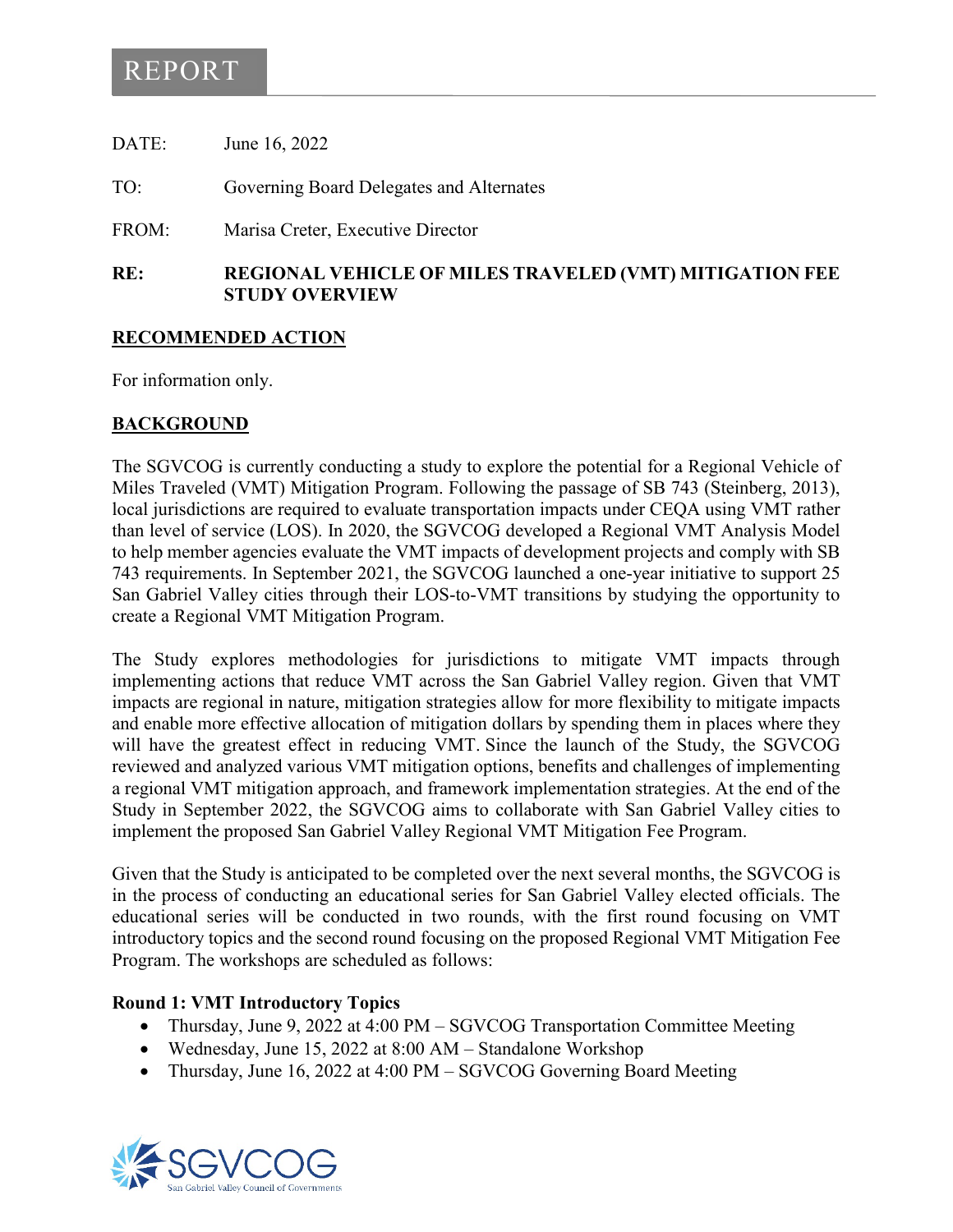# REPORT

DATE: June 16, 2022 TO: Governing Board Delegates and Alternates FROM: Marisa Creter, Executive Director **RE: REGIONAL VEHICLE OF MILES TRAVELED (VMT) MITIGATION FEE** 

#### **RECOMMENDED ACTION**

**STUDY OVERVIEW**

For information only.

#### **BACKGROUND**

The SGVCOG is currently conducting a study to explore the potential for a Regional Vehicle of Miles Traveled (VMT) Mitigation Program. Following the passage of SB 743 (Steinberg, 2013), local jurisdictions are required to evaluate transportation impacts under CEQA using VMT rather than level of service (LOS). In 2020, the SGVCOG developed a Regional VMT Analysis Model to help member agencies evaluate the VMT impacts of development projects and comply with SB 743 requirements. In September 2021, the SGVCOG launched a one-year initiative to support 25 San Gabriel Valley cities through their LOS-to-VMT transitions by studying the opportunity to create a Regional VMT Mitigation Program.

The Study explores methodologies for jurisdictions to mitigate VMT impacts through implementing actions that reduce VMT across the San Gabriel Valley region. Given that VMT impacts are regional in nature, mitigation strategies allow for more flexibility to mitigate impacts and enable more effective allocation of mitigation dollars by spending them in places where they will have the greatest effect in reducing VMT. Since the launch of the Study, the SGVCOG reviewed and analyzed various VMT mitigation options, benefits and challenges of implementing a regional VMT mitigation approach, and framework implementation strategies. At the end of the Study in September 2022, the SGVCOG aims to collaborate with San Gabriel Valley cities to implement the proposed San Gabriel Valley Regional VMT Mitigation Fee Program.

Given that the Study is anticipated to be completed over the next several months, the SGVCOG is in the process of conducting an educational series for San Gabriel Valley elected officials. The educational series will be conducted in two rounds, with the first round focusing on VMT introductory topics and the second round focusing on the proposed Regional VMT Mitigation Fee Program. The workshops are scheduled as follows:

#### **Round 1: VMT Introductory Topics**

- Thursday, June 9, 2022 at 4:00 PM SGVCOG Transportation Committee Meeting
- Wednesday, June 15, 2022 at 8:00 AM Standalone Workshop
- Thursday, June 16, 2022 at 4:00 PM SGVCOG Governing Board Meeting